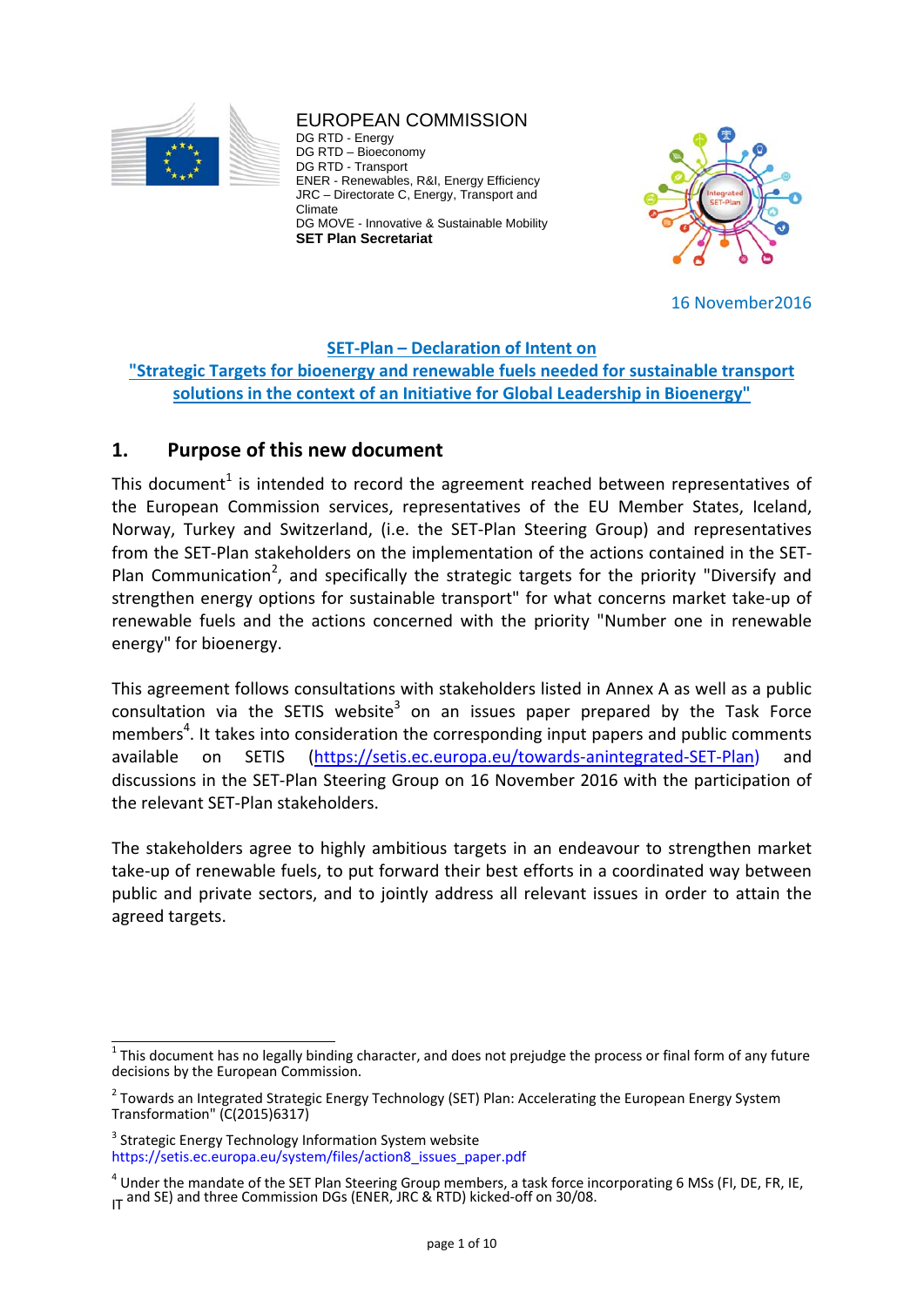

EUROPEAN COMMISSION DG RTD - Energy DG RTD – Bioeconomy DG RTD - Transport ENER - Renewables, R&I, Energy Efficiency JRC – Directorate C, Energy, Transport and Climate DG MOVE - Innovative & Sustainable Mobility **SET Plan Secretariat** 



16 November2016

## **SET‐Plan – Declaration of Intent on**

## **"Strategic Targets for bioenergy and renewable fuels needed for sustainable transport solutions in the context of an Initiative for Global Leadership in Bioenergy"**

# **1. Purpose of this new document**

This document<sup>1</sup> is intended to record the agreement reached between representatives of the European Commission services, representatives of the EU Member States, Iceland, Norway, Turkey and Switzerland, (i.e. the SET‐Plan Steering Group) and representatives from the SET‐Plan stakeholders on the implementation of the actions contained in the SET‐ Plan Communication<sup>2</sup>, and specifically the strategic targets for the priority "Diversify and strengthen energy options for sustainable transport" for what concerns market take‐up of renewable fuels and the actions concerned with the priority "Number one in renewable energy" for bioenergy.

This agreement follows consultations with stakeholders listed in Annex A as well as a public consultation via the SETIS website<sup>3</sup> on an issues paper prepared by the Task Force members<sup>4</sup>. It takes into consideration the corresponding input papers and public comments available on SETIS (https://setis.ec.europa.eu/towards‐anintegrated‐SET‐Plan) and discussions in the SET‐Plan Steering Group on 16 November 2016 with the participation of the relevant SET‐Plan stakeholders.

The stakeholders agree to highly ambitious targets in an endeavour to strengthen market take‐up of renewable fuels, to put forward their best efforts in a coordinated way between public and private sectors, and to jointly address all relevant issues in order to attain the agreed targets.

 $1$  This document has no legally binding character, and does not prejudge the process or final form of any future decisions by the European Commission.

<sup>&</sup>lt;sup>2</sup> Towards an Integrated Strategic Energy Technology (SET) Plan: Accelerating the European Energy System Transformation" (C(2015)6317)

<sup>&</sup>lt;sup>3</sup> Strategic Energy Technology Information System website https://setis.ec.europa.eu/system/files/action8\_issues\_paper.pdf

 $^4$  Under the mandate of the SET Plan Steering Group members, a task force incorporating 6 MSs (FI, DE, FR, IE, IT and SE) and three Commission DGs (ENER, JRC & RTD) kicked-off on 30/08.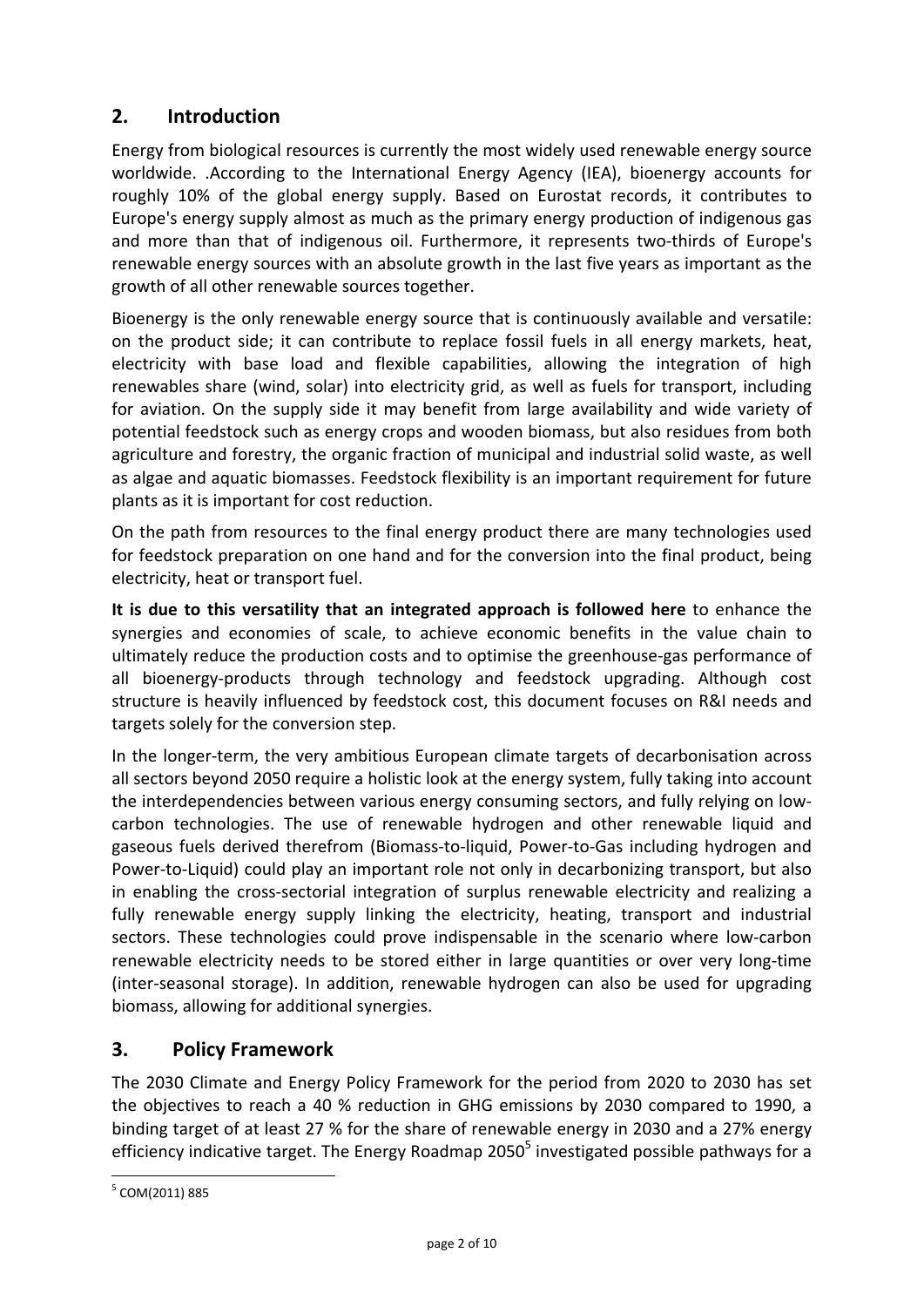# **2. Introduction**

Energy from biological resources is currently the most widely used renewable energy source worldwide. .According to the International Energy Agency (IEA), bioenergy accounts for roughly 10% of the global energy supply. Based on Eurostat records, it contributes to Europe's energy supply almost as much as the primary energy production of indigenous gas and more than that of indigenous oil. Furthermore, it represents two-thirds of Europe's renewable energy sources with an absolute growth in the last five years as important as the growth of all other renewable sources together.

Bioenergy is the only renewable energy source that is continuously available and versatile: on the product side; it can contribute to replace fossil fuels in all energy markets, heat, electricity with base load and flexible capabilities, allowing the integration of high renewables share (wind, solar) into electricity grid, as well as fuels for transport, including for aviation. On the supply side it may benefit from large availability and wide variety of potential feedstock such as energy crops and wooden biomass, but also residues from both agriculture and forestry, the organic fraction of municipal and industrial solid waste, as well as algae and aquatic biomasses. Feedstock flexibility is an important requirement for future plants as it is important for cost reduction.

On the path from resources to the final energy product there are many technologies used for feedstock preparation on one hand and for the conversion into the final product, being electricity, heat or transport fuel.

**It is due to this versatility that an integrated approach is followed here** to enhance the synergies and economies of scale, to achieve economic benefits in the value chain to ultimately reduce the production costs and to optimise the greenhouse‐gas performance of all bioenergy‐products through technology and feedstock upgrading. Although cost structure is heavily influenced by feedstock cost, this document focuses on R&I needs and targets solely for the conversion step.

In the longer‐term, the very ambitious European climate targets of decarbonisation across all sectors beyond 2050 require a holistic look at the energy system, fully taking into account the interdependencies between various energy consuming sectors, and fully relying on low‐ carbon technologies. The use of renewable hydrogen and other renewable liquid and gaseous fuels derived therefrom (Biomass‐to‐liquid, Power‐to‐Gas including hydrogen and Power-to-Liquid) could play an important role not only in decarbonizing transport, but also in enabling the cross‐sectorial integration of surplus renewable electricity and realizing a fully renewable energy supply linking the electricity, heating, transport and industrial sectors. These technologies could prove indispensable in the scenario where low-carbon renewable electricity needs to be stored either in large quantities or over very long-time (inter‐seasonal storage). In addition, renewable hydrogen can also be used for upgrading biomass, allowing for additional synergies.

# **3. Policy Framework**

The 2030 Climate and Energy Policy Framework for the period from 2020 to 2030 has set the objectives to reach a 40 % reduction in GHG emissions by 2030 compared to 1990, a binding target of at least 27 % for the share of renewable energy in 2030 and a 27% energy efficiency indicative target. The Energy Roadmap 2050<sup>5</sup> investigated possible pathways for a

<sup>5</sup> COM(2011) 885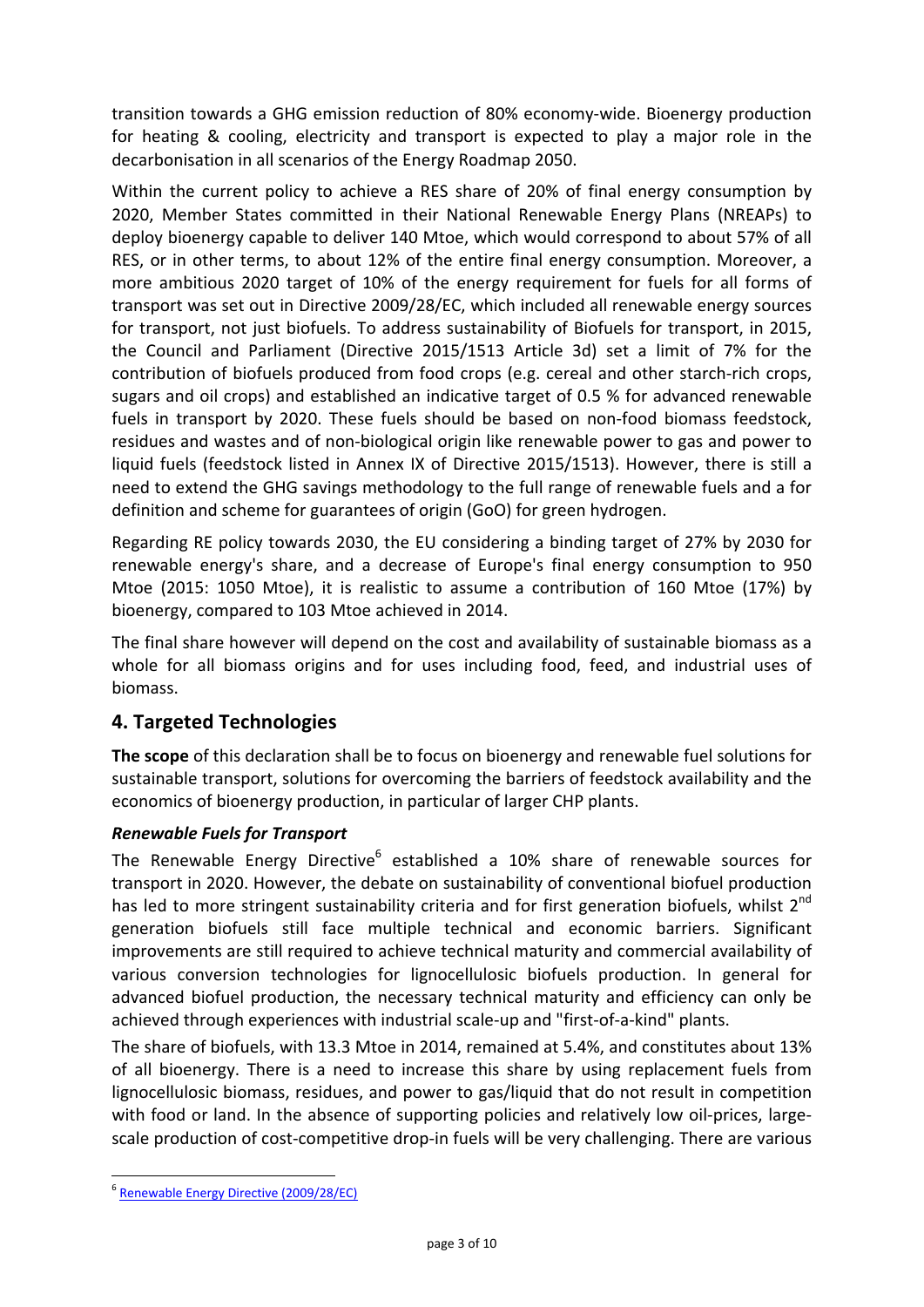transition towards a GHG emission reduction of 80% economy‐wide. Bioenergy production for heating & cooling, electricity and transport is expected to play a major role in the decarbonisation in all scenarios of the Energy Roadmap 2050.

Within the current policy to achieve a RES share of 20% of final energy consumption by 2020, Member States committed in their National Renewable Energy Plans (NREAPs) to deploy bioenergy capable to deliver 140 Mtoe, which would correspond to about 57% of all RES, or in other terms, to about 12% of the entire final energy consumption. Moreover, a more ambitious 2020 target of 10% of the energy requirement for fuels for all forms of transport was set out in Directive 2009/28/EC, which included all renewable energy sources for transport, not just biofuels. To address sustainability of Biofuels for transport, in 2015, the Council and Parliament (Directive 2015/1513 Article 3d) set a limit of 7% for the contribution of biofuels produced from food crops (e.g. cereal and other starch‐rich crops, sugars and oil crops) and established an indicative target of 0.5 % for advanced renewable fuels in transport by 2020. These fuels should be based on non-food biomass feedstock, residues and wastes and of non‐biological origin like renewable power to gas and power to liquid fuels (feedstock listed in Annex IX of Directive 2015/1513). However, there is still a need to extend the GHG savings methodology to the full range of renewable fuels and a for definition and scheme for guarantees of origin (GoO) for green hydrogen.

Regarding RE policy towards 2030, the EU considering a binding target of 27% by 2030 for renewable energy's share, and a decrease of Europe's final energy consumption to 950 Mtoe (2015: 1050 Mtoe), it is realistic to assume a contribution of 160 Mtoe (17%) by bioenergy, compared to 103 Mtoe achieved in 2014.

The final share however will depend on the cost and availability of sustainable biomass as a whole for all biomass origins and for uses including food, feed, and industrial uses of biomass.

# **4. Targeted Technologies**

**The scope** of this declaration shall be to focus on bioenergy and renewable fuel solutions for sustainable transport, solutions for overcoming the barriers of feedstock availability and the economics of bioenergy production, in particular of larger CHP plants.

# *Renewable Fuels for Transport*

The Renewable Energy Directive<sup>6</sup> established a 10% share of renewable sources for transport in 2020. However, the debate on sustainability of conventional biofuel production has led to more stringent sustainability criteria and for first generation biofuels, whilst 2<sup>nd</sup> generation biofuels still face multiple technical and economic barriers. Significant improvements are still required to achieve technical maturity and commercial availability of various conversion technologies for lignocellulosic biofuels production. In general for advanced biofuel production, the necessary technical maturity and efficiency can only be achieved through experiences with industrial scale‐up and "first‐of‐a‐kind" plants.

The share of biofuels, with 13.3 Mtoe in 2014, remained at 5.4%, and constitutes about 13% of all bioenergy. There is a need to increase this share by using replacement fuels from lignocellulosic biomass, residues, and power to gas/liquid that do not result in competition with food or land. In the absence of supporting policies and relatively low oil-prices, largescale production of cost-competitive drop-in fuels will be very challenging. There are various

<sup>6</sup> Renewable Energy Directive (2009/28/EC)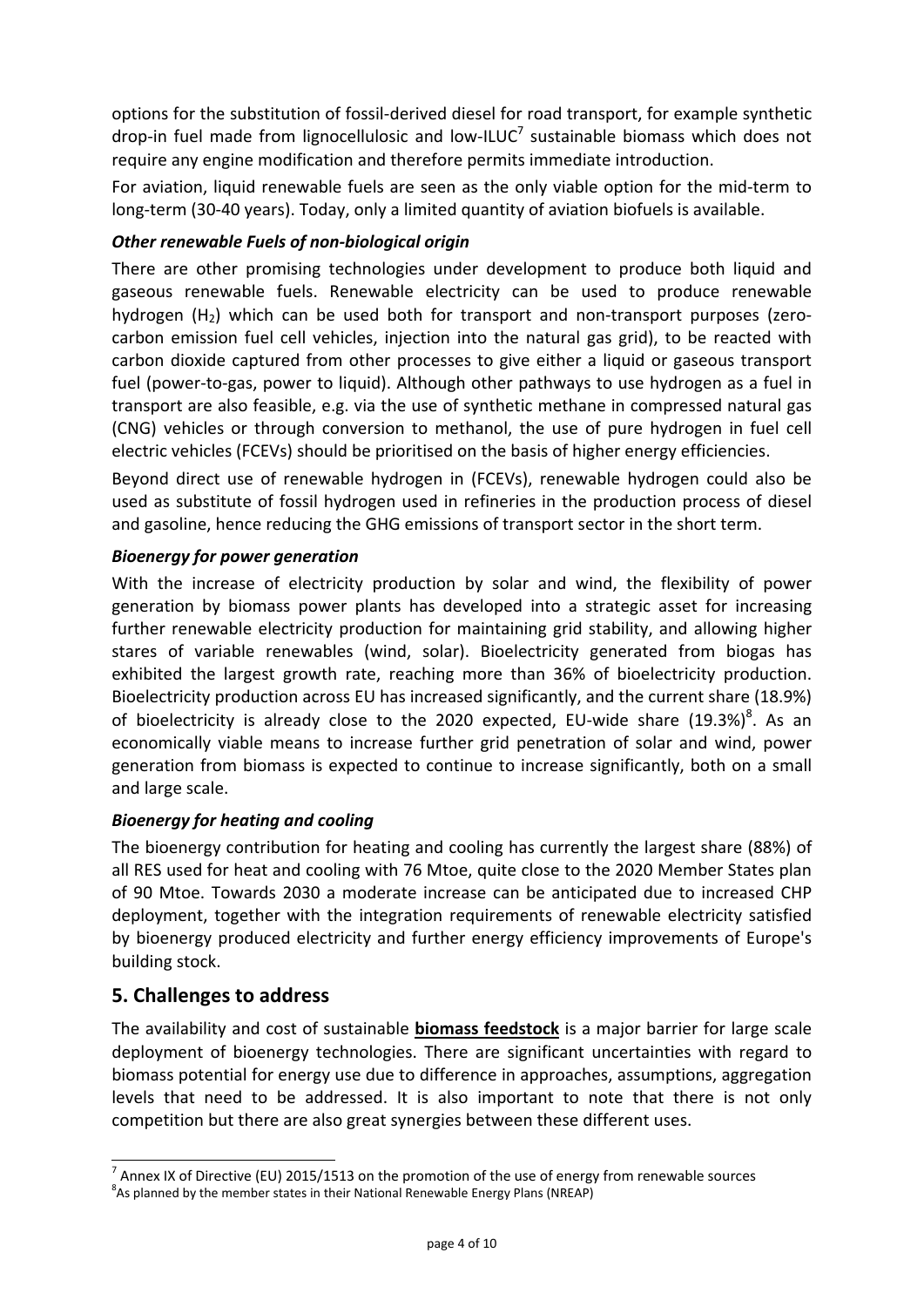options for the substitution of fossil‐derived diesel for road transport, for example synthetic drop-in fuel made from lignocellulosic and low-ILUC<sup>7</sup> sustainable biomass which does not require any engine modification and therefore permits immediate introduction.

For aviation, liquid renewable fuels are seen as the only viable option for the mid‐term to long-term (30-40 years). Today, only a limited quantity of aviation biofuels is available.

## *Other renewable Fuels of non‐biological origin*

There are other promising technologies under development to produce both liquid and gaseous renewable fuels. Renewable electricity can be used to produce renewable hydrogen  $(H<sub>2</sub>)$  which can be used both for transport and non-transport purposes (zerocarbon emission fuel cell vehicles, injection into the natural gas grid), to be reacted with carbon dioxide captured from other processes to give either a liquid or gaseous transport fuel (power-to-gas, power to liquid). Although other pathways to use hydrogen as a fuel in transport are also feasible, e.g. via the use of synthetic methane in compressed natural gas (CNG) vehicles or through conversion to methanol, the use of pure hydrogen in fuel cell electric vehicles (FCEVs) should be prioritised on the basis of higher energy efficiencies.

Beyond direct use of renewable hydrogen in (FCEVs), renewable hydrogen could also be used as substitute of fossil hydrogen used in refineries in the production process of diesel and gasoline, hence reducing the GHG emissions of transport sector in the short term.

## *Bioenergy for power generation*

With the increase of electricity production by solar and wind, the flexibility of power generation by biomass power plants has developed into a strategic asset for increasing further renewable electricity production for maintaining grid stability, and allowing higher stares of variable renewables (wind, solar). Bioelectricity generated from biogas has exhibited the largest growth rate, reaching more than 36% of bioelectricity production. Bioelectricity production across EU has increased significantly, and the current share (18.9%) of bioelectricity is already close to the 2020 expected, EU-wide share (19.3%)<sup>8</sup>. As an economically viable means to increase further grid penetration of solar and wind, power generation from biomass is expected to continue to increase significantly, both on a small and large scale.

## *Bioenergy for heating and cooling*

The bioenergy contribution for heating and cooling has currently the largest share (88%) of all RES used for heat and cooling with 76 Mtoe, quite close to the 2020 Member States plan of 90 Mtoe. Towards 2030 a moderate increase can be anticipated due to increased CHP deployment, together with the integration requirements of renewable electricity satisfied by bioenergy produced electricity and further energy efficiency improvements of Europe's building stock.

# **5. Challenges to address**

The availability and cost of sustainable **biomass feedstock** is a major barrier for large scale deployment of bioenergy technologies. There are significant uncertainties with regard to biomass potential for energy use due to difference in approaches, assumptions, aggregation levels that need to be addressed. It is also important to note that there is not only competition but there are also great synergies between these different uses.

 $^7$  Annex IX of Directive (EU) 2015/1513 on the promotion of the use of energy from renewable sources

 $8$ As planned by the member states in their National Renewable Energy Plans (NREAP)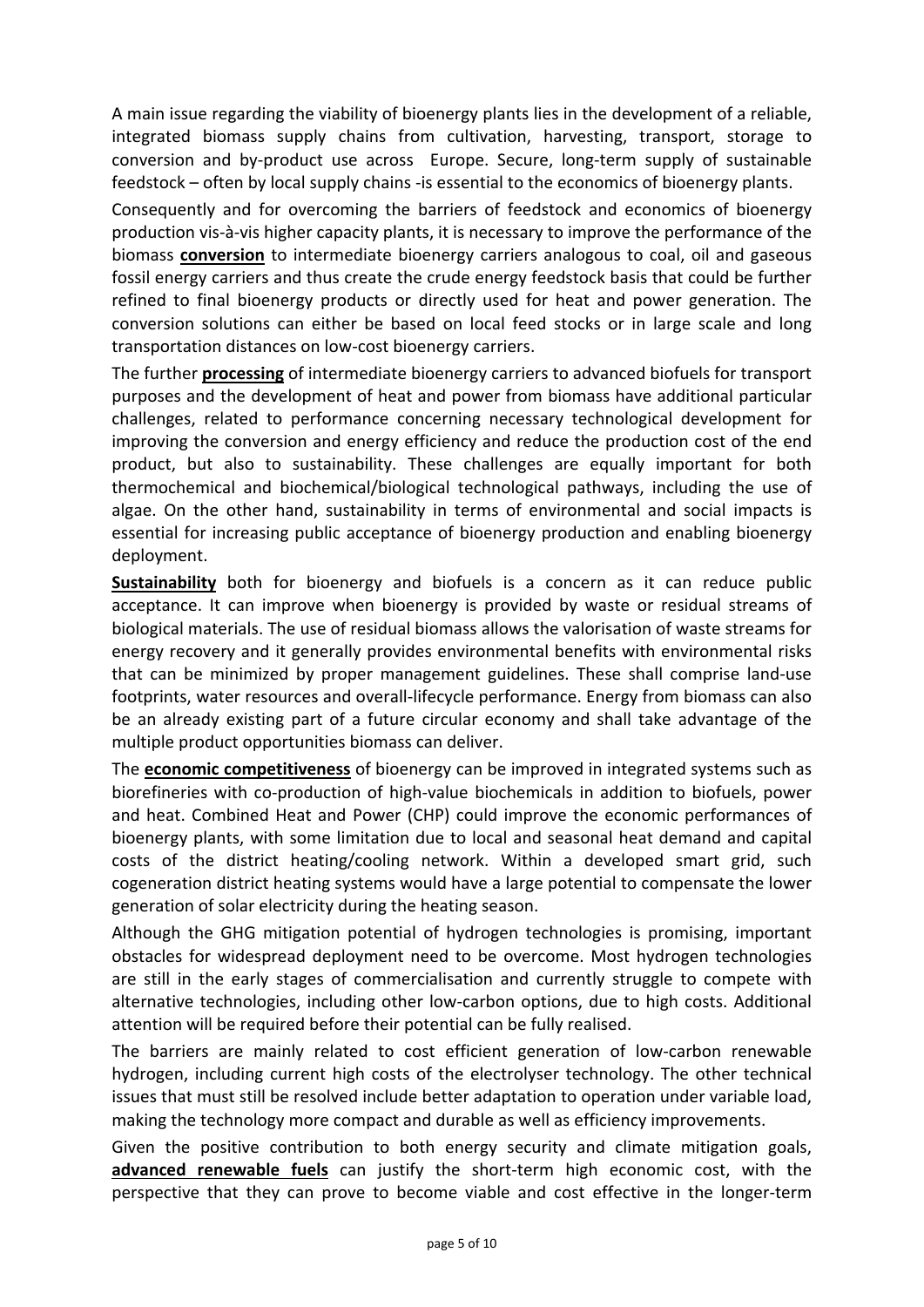A main issue regarding the viability of bioenergy plants lies in the development of a reliable, integrated biomass supply chains from cultivation, harvesting, transport, storage to conversion and by‐product use across Europe. Secure, long‐term supply of sustainable feedstock – often by local supply chains ‐is essential to the economics of bioenergy plants.

Consequently and for overcoming the barriers of feedstock and economics of bioenergy production vis‐à‐vis higher capacity plants, it is necessary to improve the performance of the biomass **conversion** to intermediate bioenergy carriers analogous to coal, oil and gaseous fossil energy carriers and thus create the crude energy feedstock basis that could be further refined to final bioenergy products or directly used for heat and power generation. The conversion solutions can either be based on local feed stocks or in large scale and long transportation distances on low‐cost bioenergy carriers.

The further **processing** of intermediate bioenergy carriers to advanced biofuels for transport purposes and the development of heat and power from biomass have additional particular challenges, related to performance concerning necessary technological development for improving the conversion and energy efficiency and reduce the production cost of the end product, but also to sustainability. These challenges are equally important for both thermochemical and biochemical/biological technological pathways, including the use of algae. On the other hand, sustainability in terms of environmental and social impacts is essential for increasing public acceptance of bioenergy production and enabling bioenergy deployment.

**Sustainability** both for bioenergy and biofuels is a concern as it can reduce public acceptance. It can improve when bioenergy is provided by waste or residual streams of biological materials. The use of residual biomass allows the valorisation of waste streams for energy recovery and it generally provides environmental benefits with environmental risks that can be minimized by proper management guidelines. These shall comprise land‐use footprints, water resources and overall‐lifecycle performance. Energy from biomass can also be an already existing part of a future circular economy and shall take advantage of the multiple product opportunities biomass can deliver.

The **economic competitiveness** of bioenergy can be improved in integrated systems such as biorefineries with co‐production of high‐value biochemicals in addition to biofuels, power and heat. Combined Heat and Power (CHP) could improve the economic performances of bioenergy plants, with some limitation due to local and seasonal heat demand and capital costs of the district heating/cooling network. Within a developed smart grid, such cogeneration district heating systems would have a large potential to compensate the lower generation of solar electricity during the heating season.

Although the GHG mitigation potential of hydrogen technologies is promising, important obstacles for widespread deployment need to be overcome. Most hydrogen technologies are still in the early stages of commercialisation and currently struggle to compete with alternative technologies, including other low‐carbon options, due to high costs. Additional attention will be required before their potential can be fully realised.

The barriers are mainly related to cost efficient generation of low‐carbon renewable hydrogen, including current high costs of the electrolyser technology. The other technical issues that must still be resolved include better adaptation to operation under variable load, making the technology more compact and durable as well as efficiency improvements.

Given the positive contribution to both energy security and climate mitigation goals, **advanced renewable fuels** can justify the short‐term high economic cost, with the perspective that they can prove to become viable and cost effective in the longer‐term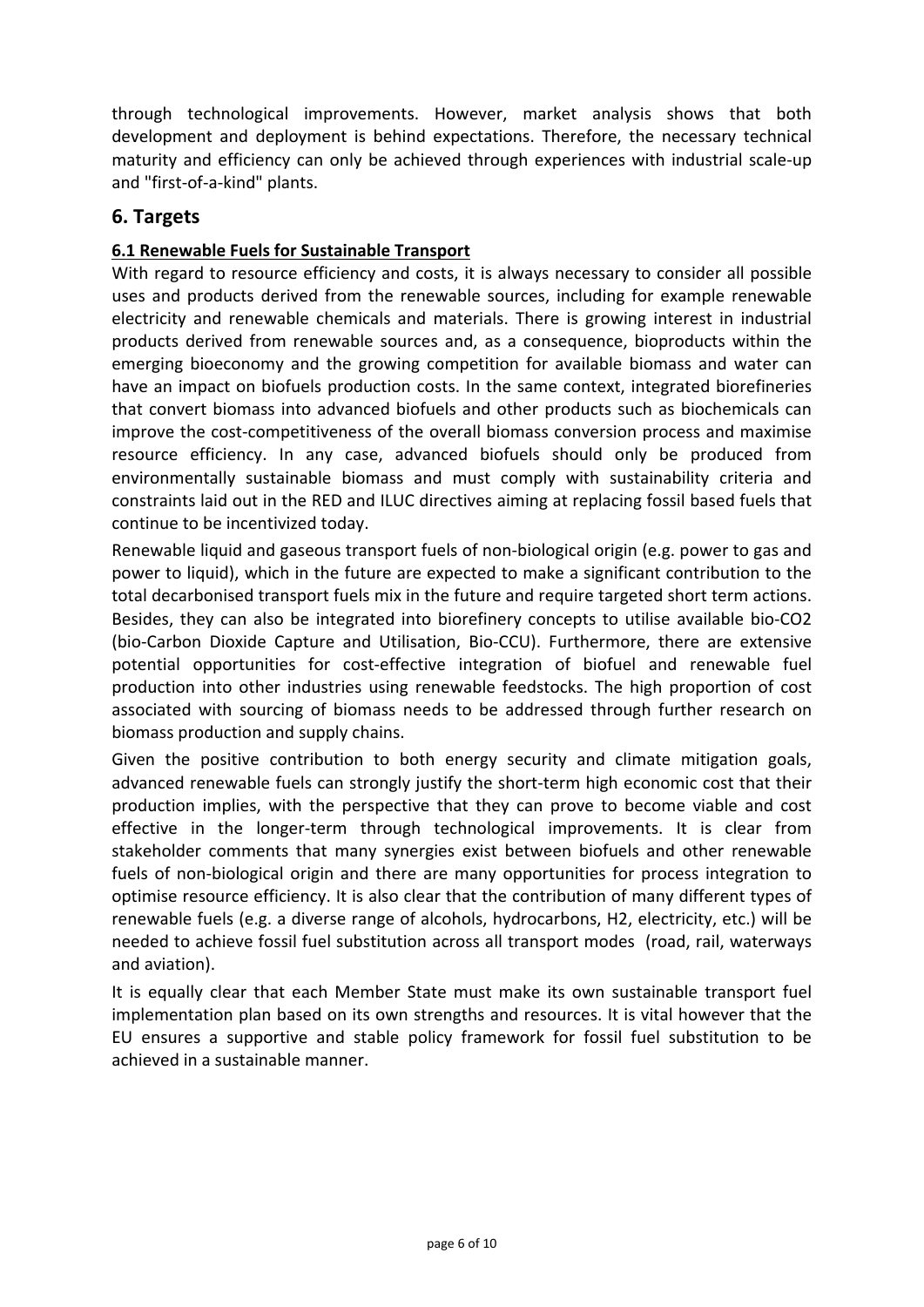through technological improvements. However, market analysis shows that both development and deployment is behind expectations. Therefore, the necessary technical maturity and efficiency can only be achieved through experiences with industrial scale‐up and "first‐of‐a‐kind" plants.

## **6. Targets**

## **6.1 Renewable Fuels for Sustainable Transport**

With regard to resource efficiency and costs, it is always necessary to consider all possible uses and products derived from the renewable sources, including for example renewable electricity and renewable chemicals and materials. There is growing interest in industrial products derived from renewable sources and, as a consequence, bioproducts within the emerging bioeconomy and the growing competition for available biomass and water can have an impact on biofuels production costs. In the same context, integrated biorefineries that convert biomass into advanced biofuels and other products such as biochemicals can improve the cost-competitiveness of the overall biomass conversion process and maximise resource efficiency. In any case, advanced biofuels should only be produced from environmentally sustainable biomass and must comply with sustainability criteria and constraints laid out in the RED and ILUC directives aiming at replacing fossil based fuels that continue to be incentivized today.

Renewable liquid and gaseous transport fuels of non‐biological origin (e.g. power to gas and power to liquid), which in the future are expected to make a significant contribution to the total decarbonised transport fuels mix in the future and require targeted short term actions. Besides, they can also be integrated into biorefinery concepts to utilise available bio‐CO2 (bio-Carbon Dioxide Capture and Utilisation, Bio-CCU). Furthermore, there are extensive potential opportunities for cost-effective integration of biofuel and renewable fuel production into other industries using renewable feedstocks. The high proportion of cost associated with sourcing of biomass needs to be addressed through further research on biomass production and supply chains.

Given the positive contribution to both energy security and climate mitigation goals, advanced renewable fuels can strongly justify the short‐term high economic cost that their production implies, with the perspective that they can prove to become viable and cost effective in the longer-term through technological improvements. It is clear from stakeholder comments that many synergies exist between biofuels and other renewable fuels of non-biological origin and there are many opportunities for process integration to optimise resource efficiency. It is also clear that the contribution of many different types of renewable fuels (e.g. a diverse range of alcohols, hydrocarbons, H2, electricity, etc.) will be needed to achieve fossil fuel substitution across all transport modes (road, rail, waterways and aviation).

It is equally clear that each Member State must make its own sustainable transport fuel implementation plan based on its own strengths and resources. It is vital however that the EU ensures a supportive and stable policy framework for fossil fuel substitution to be achieved in a sustainable manner.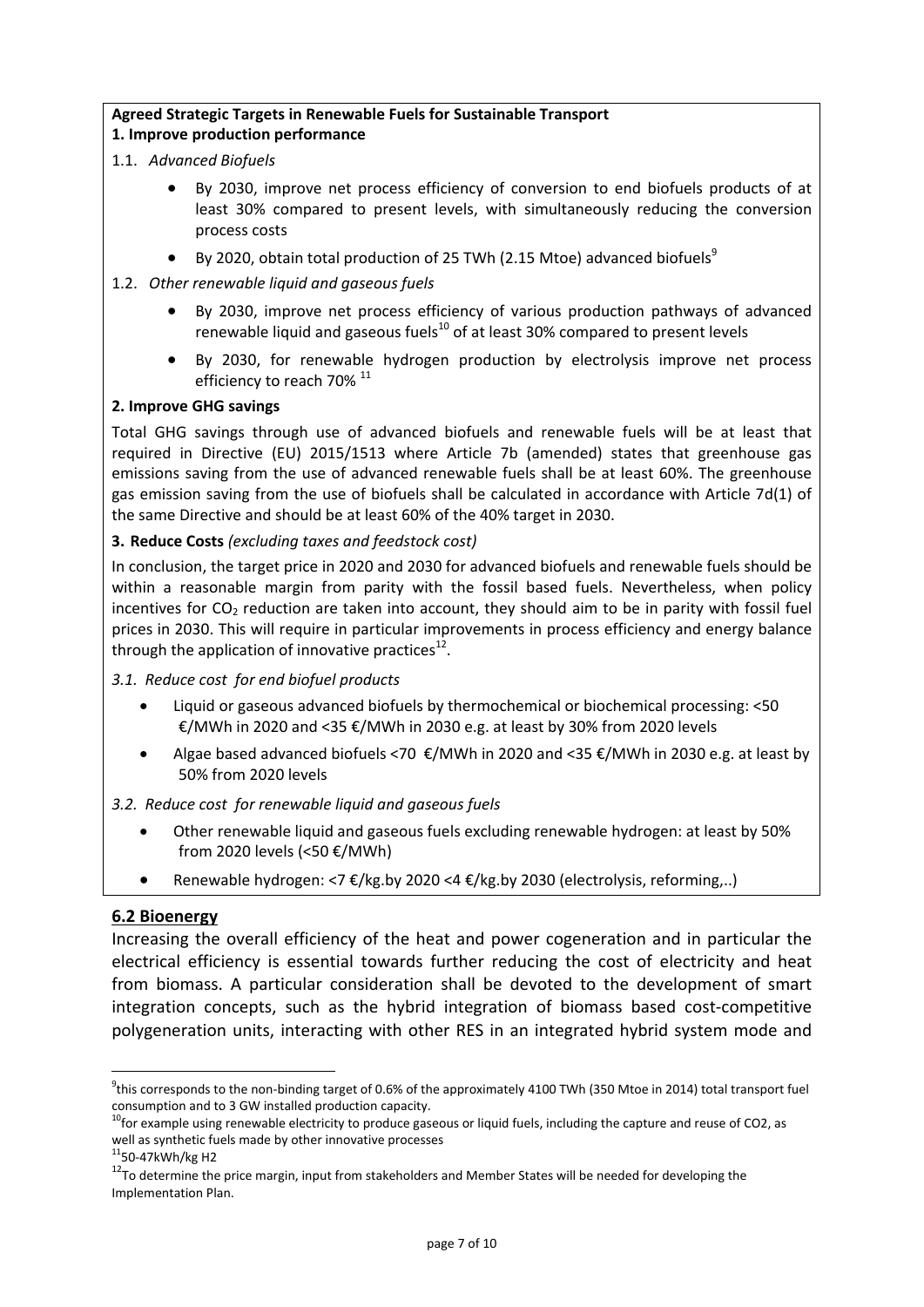#### **Agreed Strategic Targets in Renewable Fuels for Sustainable Transport 1. Improve production performance**

- 1.1. *Advanced Biofuels*
	- By 2030, improve net process efficiency of conversion to end biofuels products of at least 30% compared to present levels, with simultaneously reducing the conversion process costs
	- By 2020, obtain total production of 25 TWh (2.15 Mtoe) advanced biofuels<sup>9</sup>
- 1.2. *Other renewable liquid and gaseous fuels*
	- By 2030, improve net process efficiency of various production pathways of advanced renewable liquid and gaseous fuels $^{10}$  of at least 30% compared to present levels
	- By 2030, for renewable hydrogen production by electrolysis improve net process efficiency to reach 70%<sup>11</sup>

### **2. Improve GHG savings**

Total GHG savings through use of advanced biofuels and renewable fuels will be at least that required in Directive (EU) 2015/1513 where Article 7b (amended) states that greenhouse gas emissions saving from the use of advanced renewable fuels shall be at least 60%. The greenhouse gas emission saving from the use of biofuels shall be calculated in accordance with Article 7d(1) of the same Directive and should be at least 60% of the 40% target in 2030.

### **3. Reduce Costs** *(excluding taxes and feedstock cost)*

In conclusion, the target price in 2020 and 2030 for advanced biofuels and renewable fuels should be within a reasonable margin from parity with the fossil based fuels. Nevertheless, when policy incentives for  $CO<sub>2</sub>$  reduction are taken into account, they should aim to be in parity with fossil fuel prices in 2030. This will require in particular improvements in process efficiency and energy balance through the application of innovative practices $^{12}$ .

#### *3.1. Reduce cost for end biofuel products*

- Liquid or gaseous advanced biofuels by thermochemical or biochemical processing: <50 €/MWh in 2020 and <35 €/MWh in 2030 e.g. at least by 30% from 2020 levels
- Algae based advanced biofuels <70 €/MWh in 2020 and <35 €/MWh in 2030 e.g. at least by 50% from 2020 levels

### *3.2. Reduce cost for renewable liquid and gaseous fuels*

- Other renewable liquid and gaseous fuels excluding renewable hydrogen: at least by 50% from 2020 levels (<50 €/MWh)
- Renewable hydrogen: <7 €/kg.by 2020 <4 €/kg.by 2030 (electrolysis, reforming,..)

### **6.2 Bioenergy**

Increasing the overall efficiency of the heat and power cogeneration and in particular the electrical efficiency is essential towards further reducing the cost of electricity and heat from biomass. A particular consideration shall be devoted to the development of smart integration concepts, such as the hybrid integration of biomass based cost-competitive polygeneration units, interacting with other RES in an integrated hybrid system mode and

1

 $^9$ this corresponds to the non-binding target of 0.6% of the approximately 4100 TWh (350 Mtoe in 2014) total transport fuel

consumption and to 3 GW installed production capacity.<br><sup>10</sup>for example using renewable electricity to produce gaseous or liquid fuels, including the capture and reuse of CO2, as<br>well as synthetic fuels made by other innov

<sup>&</sup>lt;sup>12</sup>To determine the price margin, input from stakeholders and Member States will be needed for developing the Implementation Plan.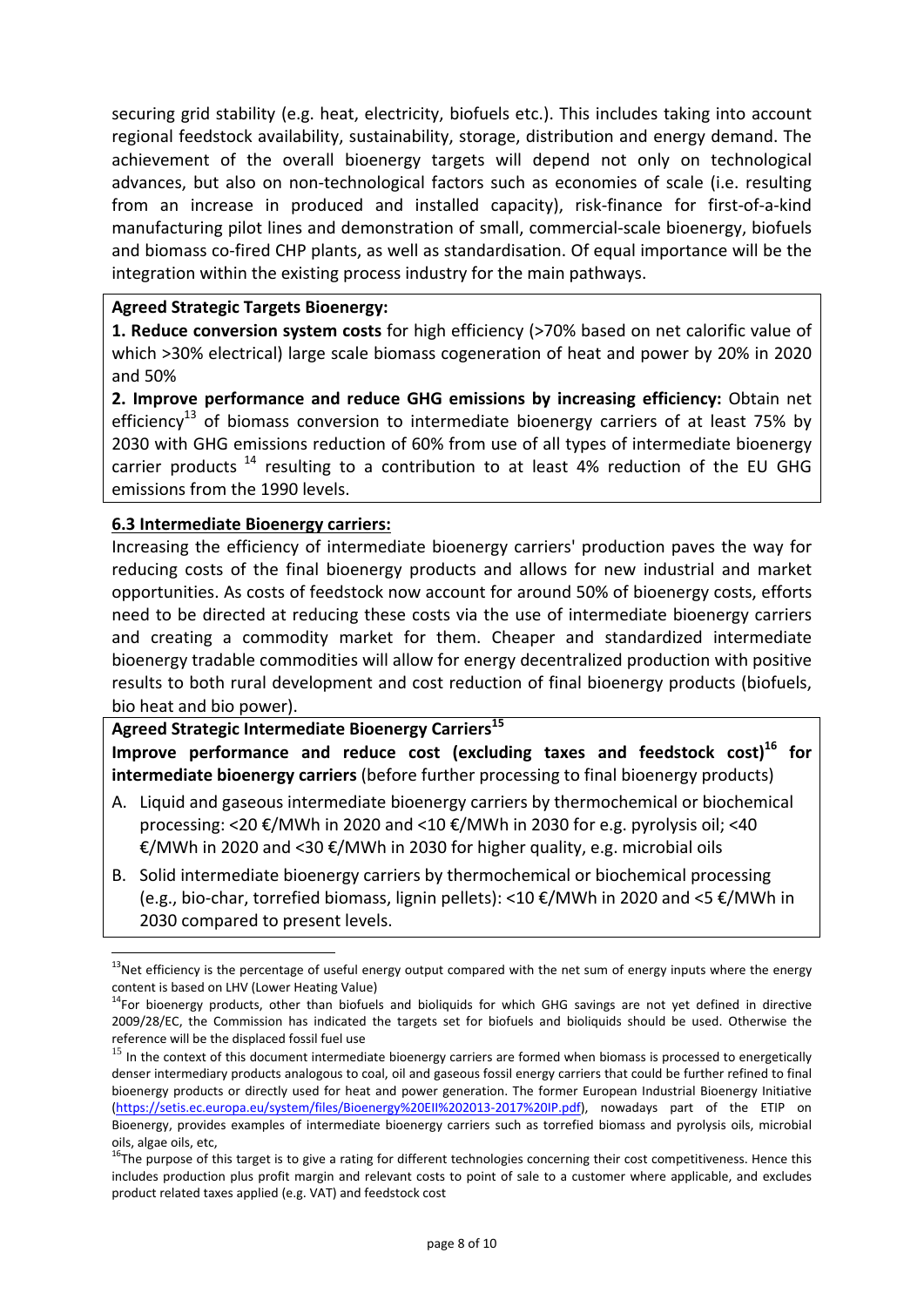securing grid stability (e.g. heat, electricity, biofuels etc.). This includes taking into account regional feedstock availability, sustainability, storage, distribution and energy demand. The achievement of the overall bioenergy targets will depend not only on technological advances, but also on non‐technological factors such as economies of scale (i.e. resulting from an increase in produced and installed capacity), risk-finance for first-of-a-kind manufacturing pilot lines and demonstration of small, commercial‐scale bioenergy, biofuels and biomass co-fired CHP plants, as well as standardisation. Of equal importance will be the integration within the existing process industry for the main pathways.

### **Agreed Strategic Targets Bioenergy:**

**1. Reduce conversion system costs** for high efficiency (>70% based on net calorific value of which >30% electrical) large scale biomass cogeneration of heat and power by 20% in 2020 and 50%

**2. Improve performance and reduce GHG emissions by increasing efficiency:** Obtain net efficiency<sup>13</sup> of biomass conversion to intermediate bioenergy carriers of at least 75% by 2030 with GHG emissions reduction of 60% from use of all types of intermediate bioenergy carrier products  $14$  resulting to a contribution to at least 4% reduction of the EU GHG emissions from the 1990 levels.

### **6.3 Intermediate Bioenergy carriers:**

1

Increasing the efficiency of intermediate bioenergy carriers' production paves the way for reducing costs of the final bioenergy products and allows for new industrial and market opportunities. As costs of feedstock now account for around 50% of bioenergy costs, efforts need to be directed at reducing these costs via the use of intermediate bioenergy carriers and creating a commodity market for them. Cheaper and standardized intermediate bioenergy tradable commodities will allow for energy decentralized production with positive results to both rural development and cost reduction of final bioenergy products (biofuels, bio heat and bio power).

**Agreed Strategic Intermediate Bioenergy Carriers<sup>15</sup> Improve performance and reduce cost (excluding taxes and feedstock cost)16 for intermediate bioenergy carriers** (before further processing to final bioenergy products)

- A. Liquid and gaseous intermediate bioenergy carriers by thermochemical or biochemical processing: <20  $\epsilon$ /MWh in 2020 and <10  $\epsilon$ /MWh in 2030 for e.g. pyrolysis oil; <40 €/MWh in 2020 and <30 €/MWh in 2030 for higher quality, e.g. microbial oils
- B. Solid intermediate bioenergy carriers by thermochemical or biochemical processing (e.g., bio‐char, torrefied biomass, lignin pellets): <10 €/MWh in 2020 and <5 €/MWh in 2030 compared to present levels.

 $13$ Net efficiency is the percentage of useful energy output compared with the net sum of energy inputs where the energy content is based on LHV (Lower Heating Value)<br><sup>14</sup>For bioenergy products, other than biofuels and bioliquids for which GHG savings are not yet defined in directive

<sup>2009/28/</sup>EC, the Commission has indicated the targets set for biofuels and bioliquids should be used. Otherwise the

reference will be the displaced fossil fuel use<br>  $^{15}$  In the context of this document intermediate bioenergy carriers are formed when biomass is processed to energetically denser intermediary products analogous to coal, oil and gaseous fossil energy carriers that could be further refined to final bioenergy products or directly used for heat and power generation. The former European Industrial Bioenergy Initiative (https://setis.ec.europa.eu/system/files/Bioenergy%20EII%202013‐2017%20IP.pdf), nowadays part of the ETIP on Bioenergy, provides examples of intermediate bioenergy carriers such as torrefied biomass and pyrolysis oils, microbial

oils, algae oils, etc,<br><sup>16</sup>The purpose of this target is to give a rating for different technologies concerning their cost competitiveness. Hence this includes production plus profit margin and relevant costs to point of sale to a customer where applicable, and excludes product related taxes applied (e.g. VAT) and feedstock cost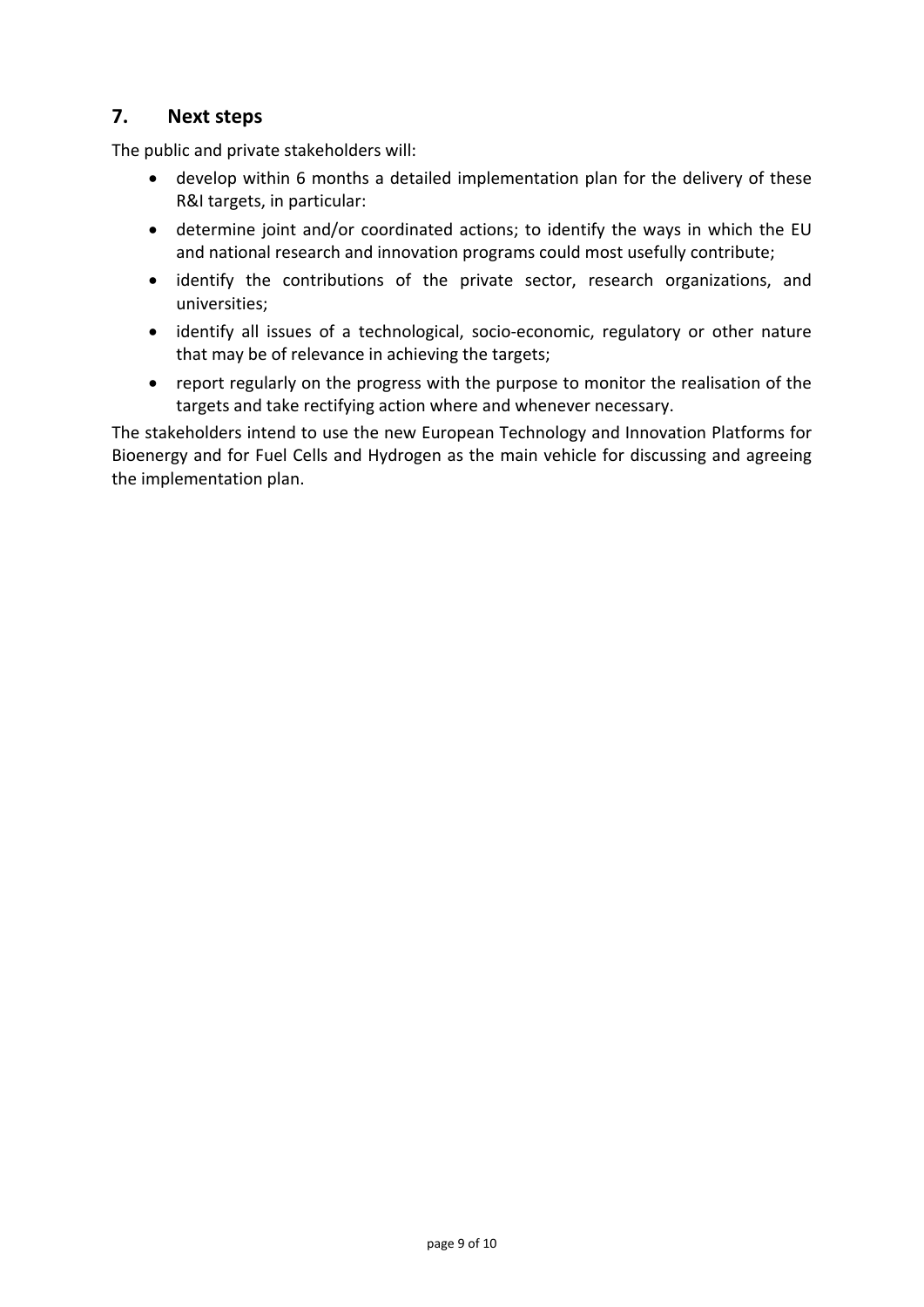# **7. Next steps**

The public and private stakeholders will:

- develop within 6 months a detailed implementation plan for the delivery of these R&I targets, in particular:
- determine joint and/or coordinated actions; to identify the ways in which the EU and national research and innovation programs could most usefully contribute;
- identify the contributions of the private sector, research organizations, and universities;
- identify all issues of a technological, socio‐economic, regulatory or other nature that may be of relevance in achieving the targets;
- report regularly on the progress with the purpose to monitor the realisation of the targets and take rectifying action where and whenever necessary.

The stakeholders intend to use the new European Technology and Innovation Platforms for Bioenergy and for Fuel Cells and Hydrogen as the main vehicle for discussing and agreeing the implementation plan.